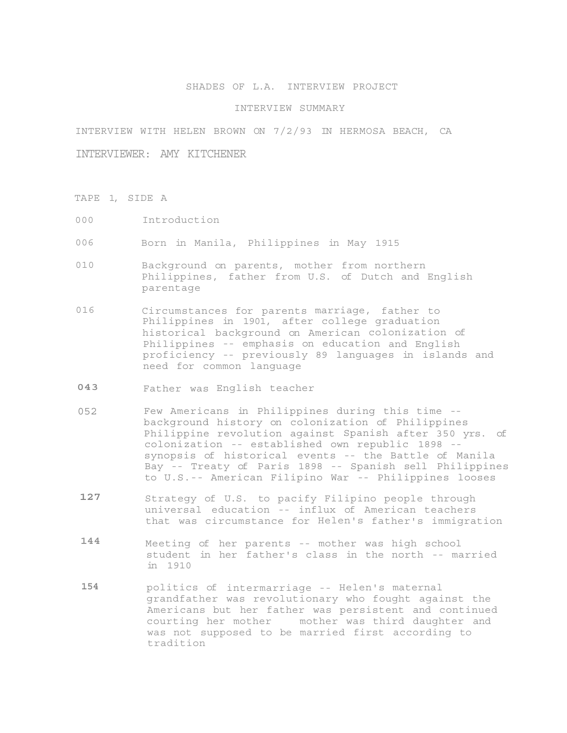## SHADES OF L.A. INTERVIEW PROJECT

## INTERVIEW SUMMARY

INTERVIEW WITH HELEN BROWN ON 7/2/93 IN HERMOSA BEACH, CA

INTERVIEWER: AMY KITCHENER

- TAPE 1, SIDE A
- 000 Introduction
- 006 Born in Manila, Philippines in May 1915
- 010 Background on parents, mother from northern Philippines, father from U.S. of Dutch and English parentage
- 016 Circumstances for parents marriage, father to Philippines in 1901, after college graduation historical background on American colonization of Philippines -- emphasis on education and English proficiency -- previously 89 languages in islands and need for common language
- **043** Father was English teacher
- 052 Few Americans in Philippines during this time background history on colonization of Philippines Philippine revolution against Spanish after 350 yrs. of colonization -- established own republic 1898 - synopsis of historical events -- the Battle of Manila Bay -- Treaty of Paris 1898 -- Spanish sell Philippines to U.S.-- American Filipino War -- Philippines looses
- 127 Strategy of U.S. to pacify Filipino people through universal education -- influx of American teachers that was circumstance for Helen's father's immigration
- **144** Meeting of her parents -- mother was high school student in her father's class in the north -- married in 1910
- **154** politics of intermarriage -- Helen's maternal grandfather was revolutionary who fought against the Americans but her father was persistent and continued courting her mother mother was third daughter and was not supposed to be married first according to tradition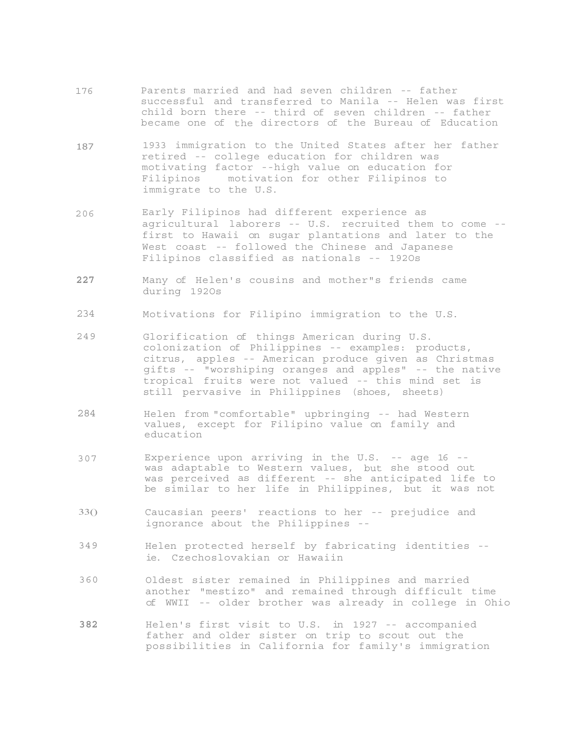- 176 Parents married and had seven children -- father successful and transferred to Manila -- Helen was first child born there -- third of seven children -- father became one of the directors of the Bureau of Education
- 187 1933 immigration to the United States after her father retired -- college education for children was motivating factor --high value on education for Filipinos motivation for other Filipinos to immigrate to the U.S.
- 206 Early Filipinos had different experience as agricultural laborers -- U.S. recruited them to come - first to Hawaii on sugar plantations and later to the West coast -- followed the Chinese and Japanese Filipinos classified as nationals -- 192Os
- **227**  Many of Helen's cousins and mother"s friends came during 192Os
- 234 Motivations for Filipino immigration to the U.S.
- 249 Glorification of things American during U.S. colonization of Philippines -- examples: products, citrus, apples -- American produce given as Christmas gifts -- "worshiping oranges and apples" -- the native tropical fruits were not valued -- this mind set is still pervasive in Philippines (shoes, sheets)
- 284 Helen from "comfortable" upbringing -- had Western values, except for Filipino value on family and education
- 307 Experience upon arriving in the U.S. -- age 16 - was adaptable to Western values, but she stood out was perceived as different -- she anticipated life to be similar to her life in Philippines, but it was not
- 33() Caucasian peers' reactions to her -- prejudice and ignorance about the Philippines --
- 349 Helen protected herself by fabricating identities ie. Czechoslovakian or Hawaiin
- 360 Oldest sister remained in Philippines and married another "mestizo" and remained through difficult time of WWII -- older brother was already in college in Ohio
- **382** Helen's first visit to U.S. in 1927 -- accompanied father and older sister on trip to scout out the possibilities in California for family's immigration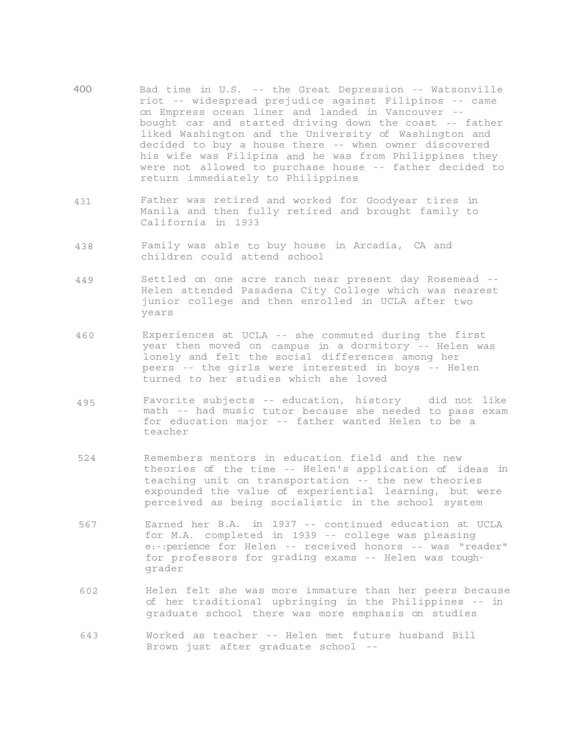- 400 Bad time in U.S. -- the Great Depression -- Watsonville riot -- widespread prejudice against Filipinos -- came on Empress ocean liner and landed in Vancouver - bought car and started driving down the coast -- father liked Washington and the University of Washington and decided to buy a house there -- when owner discovered his wife was Filipina and he was from Philippines they were not allowed to purchase house -- father decided to return immediately to Philippines
- 431 Father was retired and worked for Goodyear tires in Manila and then fully retired and brought family to California in 1933
- 438 Family was able to buy house in Arcadia, CA and children could attend school
- 449 Settled on one acre ranch near present day Rosemead -- Helen attended Pasadena City College which was nearest junior college and then enrolled in UCLA after two years
- 460 Experiences at UCLA -- she commuted during the first year then moved on campus in a dormitory -- Helen was lonely and felt the social differences among her peers -- the girls were interested in boys -- Helen turned to her studies which she loved
- 495 Favorite subjects -- education, history did not like math -- had music tutor because she needed to pass exam for education major -- father wanted Helen to be a teacher
- 524 Remembers mentors in education field and the new theories of the time -- Helen's application of ideas in teaching unit on transportation -- the new theories expounded the value of experiential learning, but were perceived as being socialistic in the school system
- 567 Earned her B.A. in 1937 -- continued education at UCLA for M.A. completed in 1939 -- college was pleasing e:-:perience for Helen -- received honors -- was "reader" for professors for grading exams -- Helen was tough· grader
- 602 Helen felt she was more immature than her peers because of her traditional upbringing in the Philippines -- in graduate school there was more emphasis on studies
- 643 Worked as teacher -- Helen met future husband Bill Brown just after graduate school --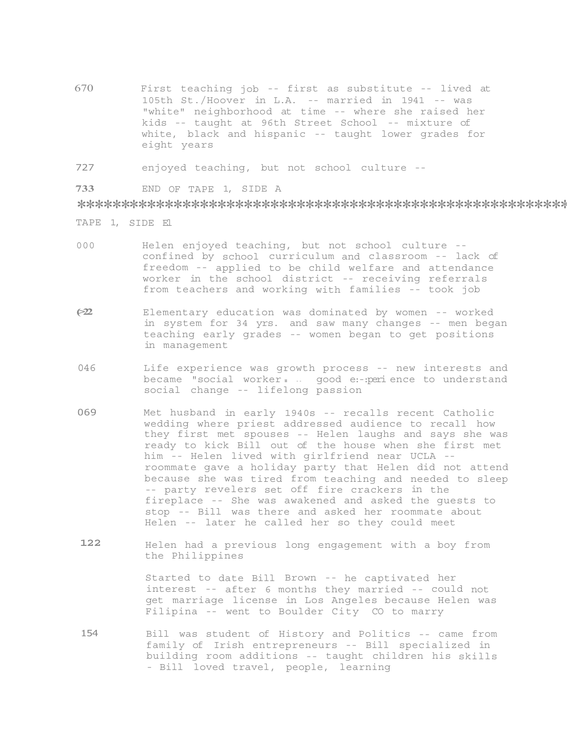- 670 First teaching job -- first as substitute -- lived at 105th St./Hoover in L.A. -- married in 1941 -- was "white" neighborhood at time -- where she raised her kids -- taught at 96th Street School -- mixture of white, black and hispanic -- taught lower grades for eight years
- 727 enjoyed teaching, but not school culture --
- **733** END OF TAPE 1, SIDE A

\*\*\*\*\*\*\*\*\*\*\*\*\*\*\*\*\*\*\*\*\*\*\*\*\*\*\*\*\*\*\*\*\*\*\*\*\*\*\*\*\*\*\*\*\*\*\*\*\*\*\*\*\*\*\*\*\*\*\*\*\*\*\*\*\*

- TAPE 1, SIDE El
- 000 Helen enjoyed teaching, but not school culture confined by school curriculum and classroom -- lack of freedom -- applied to be child welfare and attendance worker in the school district -- receiving referrals from teachers and working with families -- took job
- **(>22** Elementary education was dominated by women -- worked in system for 34 yrs. and saw many changes -- men began teaching early grades -- women began to get positions in management
- 046 Life experience was growth process -- new interests and became "social worker **1** .. good e:-: peri ence to understand social change -- lifelong passion
- 069 Met husband in early 1940s -- recalls recent Catholic wedding where priest addressed audience to recall how they first met spouses -- Helen laughs and says she was ready to kick Bill out of the house when she first met him -- Helen lived with girlfriend near UCLA - roommate gave a holiday party that Helen did not attend because she was tired from teaching and needed to sleep -- party revelers set off fire crackers in the fireplace -- She was awakened and asked the guests to stop -- Bill was there and asked her roommate about Helen -- later he called her so they could meet
- 122 Helen had a previous long engagement with a boy from the Philippines

Started to date Bill Brown -- he captivated her interest -- after 6 months they married -- could not get marriage license in Los Angeles because Helen was Filipina -- went to Boulder City CO to marry

154 Bill was student of History and Politics -- came from family of Irish entrepreneurs -- Bill specialized in building room additions -- taught children his skills - Bill loved travel, people, learning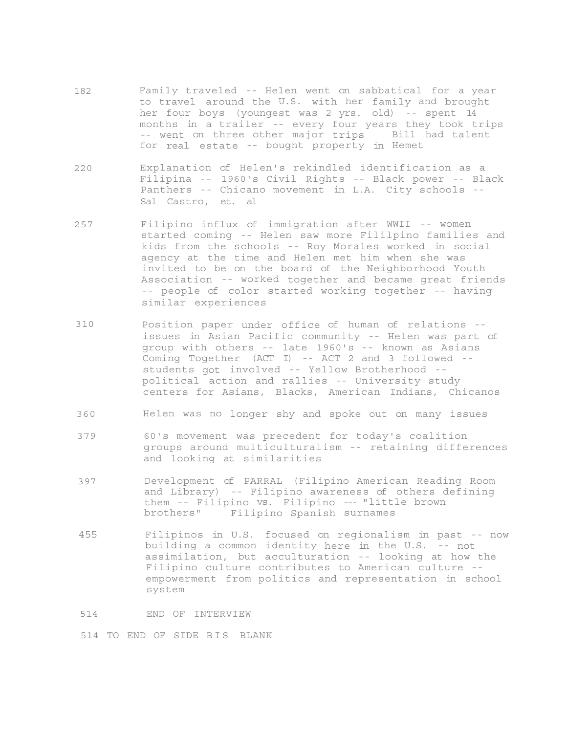- 182 Family traveled -- Helen went on sabbatical for a year to travel around the U.S. with her family and brought her four boys (youngest was 2 yrs. old) -- spent 14 months in a trailer -- every four years they took trips -- went on three other major trips Bill had talent for real estate -- bought property in Hemet
- 220 Explanation of Helen's rekindled identification as a Filipina -- 1960's Civil Rights -- Black power -- Black Panthers -- Chicano movement in L.A. City schools -- Sal Castro, et. al
- 257 Filipino influx of immigration after WWII -- women started coming -- Helen saw more Fililpino families and kids from the schools -- Roy Morales worked in social agency at the time and Helen met him when she was invited to be on the board of the Neighborhood Youth Association -- worked together and became great friends -- people of color started working together -- having similar experiences
- 310 Position paper under office of human of relations issues in Asian Pacific community -- Helen was part of group with others -- late 1960's -- known as Asians Coming Together (ACT I) -- ACT 2 and 3 followed - students got involved -- Yellow Brotherhood - political action and rallies -- University study centers for Asians, Blacks, American Indians, Chicanos
- 360 Helen was no longer shy and spoke out on many issues
- 379 60's movement was precedent for today's coalition groups around multiculturalism -- retaining differences and looking at similarities
- 397 Development of PARRAL (Filipino American Reading Room and Library) -- Filipino awareness of others defining them -- Filipino vs. Filipino --- "little brown brothers" Filipino Spanish surnames
- 455 Filipinos in U.S. focused on regionalism in past -- now building a common identity here in the U.S. -- not assimilation, but acculturation -- looking at how the Filipino culture contributes to American culture - empowerment from politics and representation in school system

514 END OF INTERVIEW

514 TO END OF SIDE BIS BLANK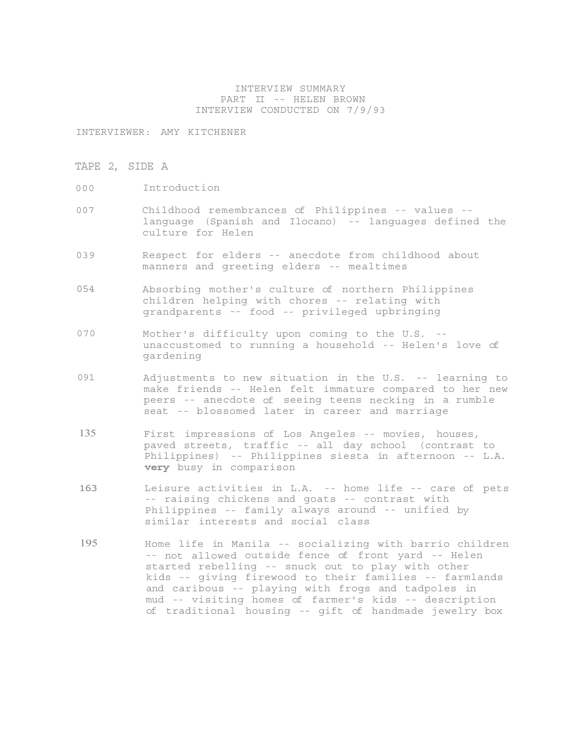## INTERVIEW SUMMARY PART II -- HELEN BROWN INTERVIEW CONDUCTED ON 7/9/93

INTERVIEWER: AMY KITCHENER

- TAPE 2, SIDE A
- 000 Introduction
- 007 Childhood remembrances of Philippines -- values language (Spanish and Ilocano) -- languages defined the culture for Helen
- 039 Respect for elders -- anecdote from childhood about manners and greeting elders -- mealtimes
- 054 Absorbing mother's culture of northern Philippines children helping with chores -- relating with grandparents -- food -- privileged upbringing
- 070 Mother's difficulty upon coming to the U.S. unaccustomed to running a household -- Helen's love of gardening
- 091 Adjustments to new situation in the U.S. -- learning to make friends -- Helen felt immature compared to her new peers -- anecdote of seeing teens necking in a rumble seat -- blossomed later in career and marriage
- 135 First impressions of Los Angeles -- movies, houses, paved streets, traffic -- all day school (contrast to Philippines) -- Philippines siesta in afternoon -- L.A. **very** busy in comparison
- 163 Leisure activities in L.A. -- home life -- care of pets -- raising chickens and goats -- contrast with Philippines -- family always around -- unified by similar interests and social class
- 195 Home life in Manila -- socializing with barrio children -- not allowed outside fence of front yard -- Helen started rebelling -- snuck out to play with other kids -- giving firewood to their families -- farmlands and caribous -- playing with frogs and tadpoles in mud -- visiting homes of farmer's kids -- description of traditional housing -- gift of handmade jewelry box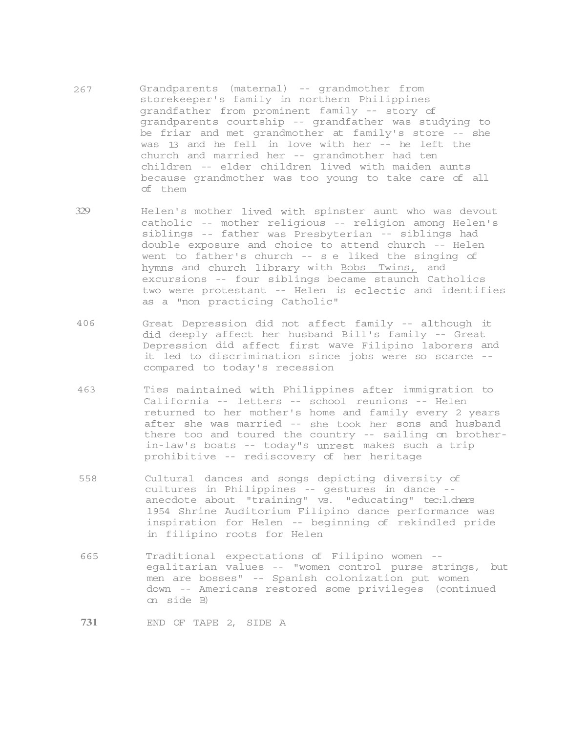- 267 Grandparents (maternal) -- grandmother from storekeeper's family in northern Philippines grandfather from prominent family -- story of grandparents courtship -- grandfather was studying to be friar and met grandmother at family's store -- she was 13 and he fell in love with her -- he left the church and married her -- grandmother had ten children -- elder children lived with maiden aunts because grandmother was too young to take care of all of them
- 329 Helen's mother lived with spinster aunt who was devout catholic -- mother religious -- religion among Helen's siblings -- father was Presbyterian -- siblings had double exposure and choice to attend church -- Helen went to father's church -- s e liked the singing of hymns and church library with Bobs Twins, and excursions -- four siblings became staunch Catholics two were protestant -- Helen is eclectic and identifies as a "non practicing Catholic"
- 406 Great Depression did not affect family -- although it did deeply affect her husband Bill's family -- Great Depression did affect first wave Filipino laborers and it led to discrimination since jobs were so scarce - compared to today's recession
- 463 Ties maintained with Philippines after immigration to California -- letters -- school reunions -- Helen returned to her mother's home and family every 2 years after she was married -- she took her sons and husband there too and toured the country -- sailing on brotherin-law's boats -- today"s unrest makes such a trip prohibitive -- rediscovery of her heritage
- 558 Cultural dances and songs depicting diversity of cultures in Philippines -- gestures in dance - anecdote about "training" vs. "educating" tec:l.chers 1954 Shrine Auditorium Filipino dance performance was inspiration for Helen -- beginning of rekindled pride in filipino roots for Helen
- 665 Traditional expectations of Filipino women egalitarian values -- "women control purse strings, but men are bosses" -- Spanish colonization put women down -- Americans restored some privileges (continued on side B)

**731** END OF TAPE 2, SIDE A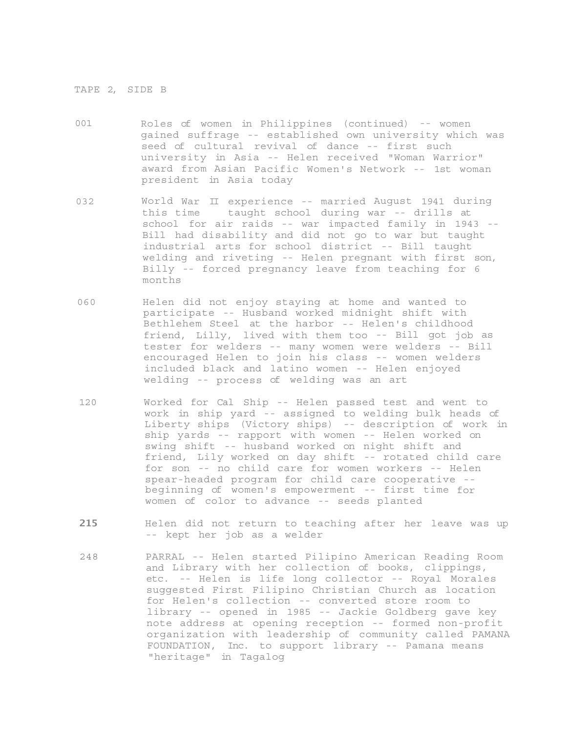## TAPE 2, SIDE B

- 001 Roles of women in Philippines (continued) -- women gained suffrage -- established own university which was seed of cultural revival of dance -- first such university in Asia -- Helen received "Woman Warrior" award from Asian Pacific Women's Network -- 1st woman president in Asia today
- 032 World War II experience -- married August 1941 during this time taught school during war -- drills at school for air raids -- war impacted family in 1943 -- Bill had disability and did not go to war but taught industrial arts for school district -- Bill taught welding and riveting -- Helen pregnant with first son, Billy -- forced pregnancy leave from teaching for 6 months
- 060 Helen did not enjoy staying at home and wanted to participate -- Husband worked midnight shift with Bethlehem Steel at the harbor -- Helen's childhood friend, Lilly, lived with them too -- Bill got job as tester for welders -- many women were welders -- Bill encouraged Helen to join his class -- women welders included black and latino women -- Helen enjoyed welding -- process of welding was an art
- 120 Worked for Cal Ship -- Helen passed test and went to work in ship yard -- assigned to welding bulk heads of Liberty ships (Victory ships) -- description of work in ship yards -- rapport with women -- Helen worked on swing shift -- husband worked on night shift and friend, Lily worked on day shift -- rotated child care for son -- no child care for women workers -- Helen spear-headed program for child care cooperative - beginning of women's empowerment -- first time for women of color to advance -- seeds planted
- **215** Helen did not return to teaching after her leave was up -- kept her job as a welder
- 248 PARRAL -- Helen started Pilipino American Reading Room and Library with her collection of books, clippings, etc. -- Helen is life long collector -- Royal Morales suggested First Filipino Christian Church as location for Helen's collection -- converted store room to library -- opened in 1985 -- Jackie Goldberg gave key note address at opening reception -- formed non-profit organization with leadership of community called PAMANA FOUNDATION, Inc. to support library -- Pamana means "heritage" in Tagalog